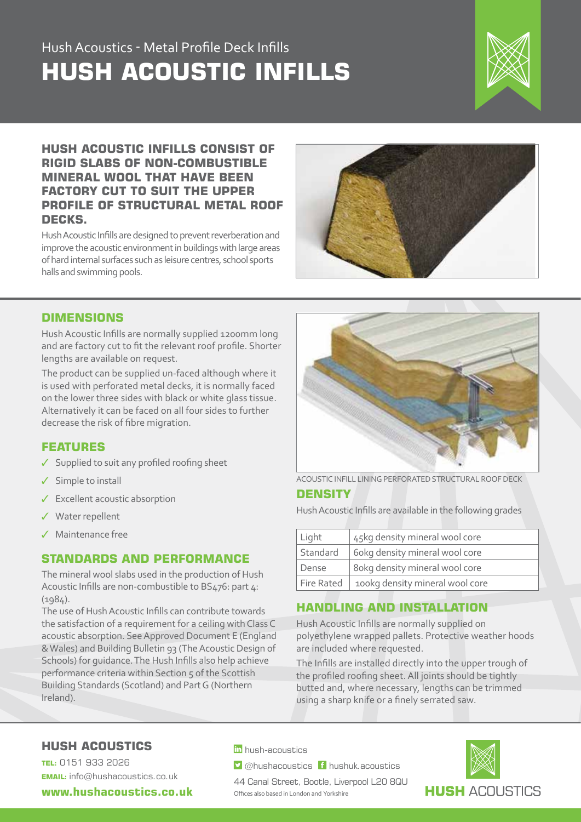## Hush Acoustics - Metal Profile Deck Infills **HUSH ACOUSTIC INFILLS**



### **HUSH ACOUSTIC INFILLS CONSIST OF RIGID SLABS OF NON-COMBUSTIBLE MINERAL WOOL THAT HAVE BEEN FACTORY CUT TO SUIT THE UPPER PROFILE OF STRUCTURAL METAL ROOF DECKS.**

Hush Acoustic Infills are designed to prevent reverberation and improve the acoustic environment in buildings with large areas of hard internal surfaces such as leisure centres, school sports halls and swimming pools.



### **DIMENSIONS**

Hush Acoustic Infills are normally supplied 1200mm long and are factory cut to fit the relevant roof profile. Shorter lengths are available on request.

The product can be supplied un-faced although where it is used with perforated metal decks, it is normally faced on the lower three sides with black or white glass tissue. Alternatively it can be faced on all four sides to further decrease the risk of fibre migration.

### **FEATURES**

- $\checkmark$  Supplied to suit any profiled roofing sheet
- $\checkmark$  Simple to install
- $\checkmark$  Excellent acoustic absorption
- Water repellent
- Maintenance free

### **STANDARDS AND PERFORMANCE**

The mineral wool slabs used in the production of Hush Acoustic Infills are non-combustible to BS476: part 4: (1984).

The use of Hush Acoustic Infills can contribute towards the satisfaction of a requirement for a ceiling with Class C acoustic absorption. See Approved Document E (England & Wales) and Building Bulletin 93 (The Acoustic Design of Schools) for guidance. The Hush Infills also help achieve performance criteria within Section 5 of the Scottish Building Standards (Scotland) and Part G (Northern Ireland).



ACOUSTIC INFILL LINING PERFORATED STRUCTURAL ROOF DECK **DENSITY**

Hush Acoustic Infills are available in the following grades

| Light      | 45kg density mineral wool core  |
|------------|---------------------------------|
| Standard   | 6okg density mineral wool core  |
| Dense      | 8 okg density mineral wool core |
| Fire Rated | 100kg density mineral wool core |

## **HANDLING AND INSTALLATION**

Hush Acoustic Infills are normally supplied on polyethylene wrapped pallets. Protective weather hoods are included where requested.

The Infills are installed directly into the upper trough of the profiled roofing sheet. All joints should be tightly butted and, where necessary, lengths can be trimmed using a sharp knife or a finely serrated saw.

## **HUSH ACOUSTICS**

**TEL:** 0151 933 2026 **EMAIL:** info@hushacoustics.co.uk

**www.hushacoustics.co.uk** 

in hush-acoustics

 $\triangleright$  @hushacoustics  $\vdash$  hushuk.acoustics

44 Canal Street, Bootle, Liverpool L20 8QU Offices also based in London and Yorkshire